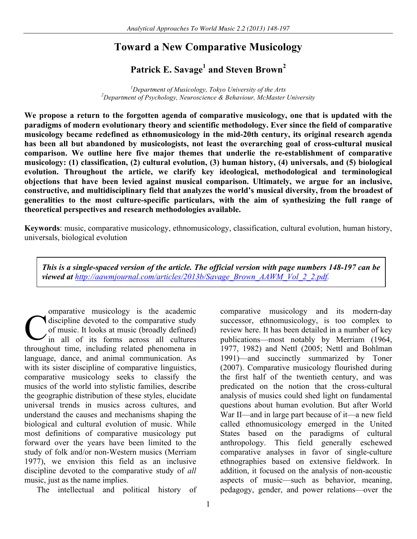# **Toward a New Comparative Musicology**

# **Patrick E. Savage<sup>1</sup> and Steven Brown<sup>2</sup>**

<sup>1</sup>Department of Musicology, Tokyo University of the Arts<sup>2</sup> *Department of Psychology, Neuroscience & Behaviour, McMaster University*

**We propose a return to the forgotten agenda of comparative musicology, one that is updated with the paradigms of modern evolutionary theory and scientific methodology. Ever since the field of comparative musicology became redefined as ethnomusicology in the mid-20th century, its original research agenda has been all but abandoned by musicologists, not least the overarching goal of cross-cultural musical comparison. We outline here five major themes that underlie the re-establishment of comparative musicology: (1) classification, (2) cultural evolution, (3) human history, (4) universals, and (5) biological evolution. Throughout the article, we clarify key ideological, methodological and terminological objections that have been levied against musical comparison. Ultimately, we argue for an inclusive, constructive, and multidisciplinary field that analyzes the world's musical diversity, from the broadest of generalities to the most culture-specific particulars, with the aim of synthesizing the full range of theoretical perspectives and research methodologies available.**

**Keywords**: music, comparative musicology, ethnomusicology, classification, cultural evolution, human history, universals, biological evolution

*This is a single-spaced version of the article. The official version with page numbers 148-197 can be viewed at http://aawmjournal.com/articles/2013b/Savage\_Brown\_AAWM\_Vol\_2\_2.pdf.*

omparative musicology is the academic discipline devoted to the comparative study of music. It looks at music (broadly defined) in all of its forms across all cultures throughout time, including related phenomena in language, dance, and animal communication. As with its sister discipline of comparative linguistics, comparative musicology seeks to classify the musics of the world into stylistic families, describe the geographic distribution of these styles, elucidate universal trends in musics across cultures, and understand the causes and mechanisms shaping the biological and cultural evolution of music. While most definitions of comparative musicology put forward over the years have been limited to the study of folk and/or non-Western musics (Merriam 1977), we envision this field as an inclusive discipline devoted to the comparative study of *all* music, just as the name implies. C

The intellectual and political history of

comparative musicology and its modern-day successor, ethnomusicology, is too complex to review here. It has been detailed in a number of key publications—most notably by Merriam (1964, 1977, 1982) and Nettl (2005; Nettl and Bohlman 1991)—and succinctly summarized by Toner (2007). Comparative musicology flourished during the first half of the twentieth century, and was predicated on the notion that the cross-cultural analysis of musics could shed light on fundamental questions about human evolution. But after World War II—and in large part because of it—a new field called ethnomusicology emerged in the United States based on the paradigms of cultural anthropology. This field generally eschewed comparative analyses in favor of single-culture ethnographies based on extensive fieldwork. In addition, it focused on the analysis of non-acoustic aspects of music—such as behavior, meaning, pedagogy, gender, and power relations—over the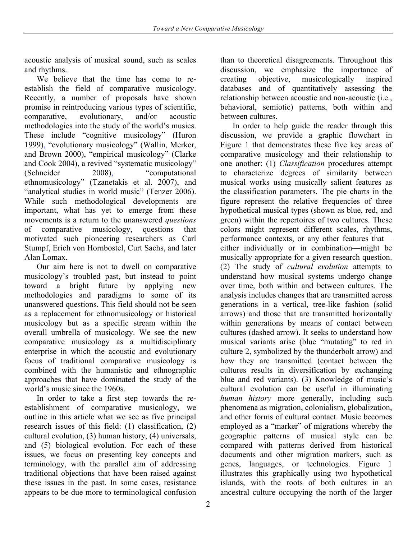acoustic analysis of musical sound, such as scales and rhythms.

We believe that the time has come to reestablish the field of comparative musicology. Recently, a number of proposals have shown promise in reintroducing various types of scientific, comparative, evolutionary, and/or acoustic methodologies into the study of the world's musics. These include "cognitive musicology" (Huron 1999), "evolutionary musicology" (Wallin, Merker, and Brown 2000), "empirical musicology" (Clarke and Cook 2004), a revived "systematic musicology" (Schneider 2008), "computational ethnomusicology" (Tzanetakis et al. 2007), and "analytical studies in world music" (Tenzer 2006). While such methodological developments are important, what has yet to emerge from these movements is a return to the unanswered *questions*  of comparative musicology, questions that motivated such pioneering researchers as Carl Stumpf, Erich von Hornbostel, Curt Sachs, and later Alan Lomax.

Our aim here is not to dwell on comparative musicology's troubled past, but instead to point toward a bright future by applying new methodologies and paradigms to some of its unanswered questions. This field should not be seen as a replacement for ethnomusicology or historical musicology but as a specific stream within the overall umbrella of musicology. We see the new comparative musicology as a multidisciplinary enterprise in which the acoustic and evolutionary focus of traditional comparative musicology is combined with the humanistic and ethnographic approaches that have dominated the study of the world's music since the 1960s.

In order to take a first step towards the reestablishment of comparative musicology, we outline in this article what we see as five principal research issues of this field: (1) classification, (2) cultural evolution, (3) human history, (4) universals, and (5) biological evolution. For each of these issues, we focus on presenting key concepts and terminology, with the parallel aim of addressing traditional objections that have been raised against these issues in the past. In some cases, resistance appears to be due more to terminological confusion

discussion, we emphasize the importance of creating objective, musicologically inspired databases and of quantitatively assessing the relationship between acoustic and non-acoustic (i.e., behavioral, semiotic) patterns, both within and between cultures. In order to help guide the reader through this

than to theoretical disagreements. Throughout this

discussion, we provide a graphic flowchart in Figure 1 that demonstrates these five key areas of comparative musicology and their relationship to one another: (1) *Classification* procedures attempt to characterize degrees of similarity between musical works using musically salient features as the classification parameters. The pie charts in the figure represent the relative frequencies of three hypothetical musical types (shown as blue, red, and green) within the repertoires of two cultures. These colors might represent different scales, rhythms, performance contexts, or any other features that either individually or in combination—might be musically appropriate for a given research question. (2) The study of *cultural evolution* attempts to understand how musical systems undergo change over time, both within and between cultures. The analysis includes changes that are transmitted across generations in a vertical, tree-like fashion (solid arrows) and those that are transmitted horizontally within generations by means of contact between cultures (dashed arrow). It seeks to understand how musical variants arise (blue "mutating" to red in culture 2, symbolized by the thunderbolt arrow) and how they are transmitted (contact between the cultures results in diversification by exchanging blue and red variants). (3) Knowledge of music's cultural evolution can be useful in illuminating *human history* more generally, including such phenomena as migration, colonialism, globalization, and other forms of cultural contact. Music becomes employed as a "marker" of migrations whereby the geographic patterns of musical style can be compared with patterns derived from historical documents and other migration markers, such as genes, languages, or technologies. Figure 1 illustrates this graphically using two hypothetical islands, with the roots of both cultures in an ancestral culture occupying the north of the larger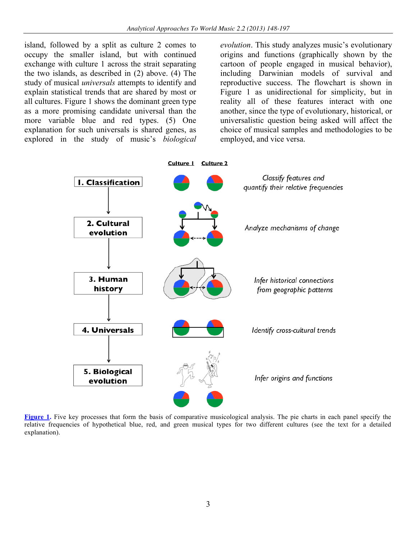island, followed by a split as culture 2 comes to occupy the smaller island, but with continued exchange with culture 1 across the strait separating the two islands, as described in (2) above. (4) The study of musical *universals* attempts to identify and explain statistical trends that are shared by most or all cultures. Figure 1 shows the dominant green type as a more promising candidate universal than the more variable blue and red types. (5) One explanation for such universals is shared genes, as explored in the study of music's *biological* 

*evolution*. This study analyzes music's evolutionary origins and functions (graphically shown by the cartoon of people engaged in musical behavior), including Darwinian models of survival and reproductive success. The flowchart is shown in Figure 1 as unidirectional for simplicity, but in reality all of these features interact with one another, since the type of evolutionary, historical, or universalistic question being asked will affect the choice of musical samples and methodologies to be employed, and vice versa.



**Figure 1.** Five key processes that form the basis of comparative musicological analysis. The pie charts in each panel specify the relative frequencies of hypothetical blue, red, and green musical types for two different cultures (see the text for a detailed explanation).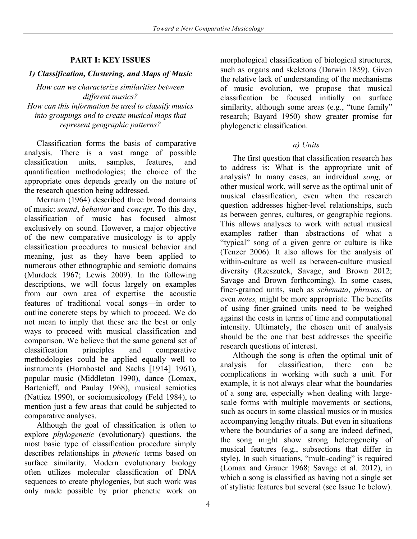## **PART I: KEY ISSUES**

## *1) Classification, Clustering, and Maps of Music*

*How can we characterize similarities between different musics? How can this information be used to classify musics into groupings and to create musical maps that represent geographic patterns?*

Classification forms the basis of comparative analysis. There is a vast range of possible classification units, samples, features, and quantification methodologies; the choice of the appropriate ones depends greatly on the nature of the research question being addressed.

Merriam (1964) described three broad domains of music: *sound*, *behavior* and *concept*. To this day, classification of music has focused almost exclusively on sound. However, a major objective of the new comparative musicology is to apply classification procedures to musical behavior and meaning, just as they have been applied to numerous other ethnographic and semiotic domains (Murdock 1967; Lewis 2009). In the following descriptions, we will focus largely on examples from our own area of expertise—the acoustic features of traditional vocal songs—in order to outline concrete steps by which to proceed. We do not mean to imply that these are the best or only ways to proceed with musical classification and comparison. We believe that the same general set of classification principles and comparative methodologies could be applied equally well to instruments (Hornbostel and Sachs [1914] 1961), popular music (Middleton 1990), dance (Lomax, Bartenieff, and Paulay 1968), musical semiotics (Nattiez 1990), or sociomusicology (Feld 1984), to mention just a few areas that could be subjected to comparative analyses.

Although the goal of classification is often to explore *phylogenetic* (evolutionary) questions, the most basic type of classification procedure simply describes relationships in *phenetic* terms based on surface similarity. Modern evolutionary biology often utilizes molecular classification of DNA sequences to create phylogenies, but such work was only made possible by prior phenetic work on

morphological classification of biological structures, such as organs and skeletons (Darwin 1859). Given the relative lack of understanding of the mechanisms of music evolution, we propose that musical classification be focused initially on surface similarity, although some areas (e.g., "tune family" research; Bayard 1950) show greater promise for phylogenetic classification.

#### *a) Units*

The first question that classification research has to address is: What is the appropriate unit of analysis? In many cases, an individual *song,* or other musical work, will serve as the optimal unit of musical classification, even when the research question addresses higher-level relationships, such as between genres, cultures, or geographic regions. This allows analyses to work with actual musical examples rather than abstractions of what a "typical" song of a given genre or culture is like (Tenzer 2006). It also allows for the analysis of within-culture as well as between-culture musical diversity (Rzeszutek, Savage, and Brown 2012; Savage and Brown forthcoming). In some cases, finer-grained units, such as *schemata*, *phrases*, or even *notes,* might be more appropriate. The benefits of using finer-grained units need to be weighed against the costs in terms of time and computational intensity. Ultimately, the chosen unit of analysis should be the one that best addresses the specific research questions of interest.

Although the song is often the optimal unit of analysis for classification, there can be complications in working with such a unit. For example, it is not always clear what the boundaries of a song are, especially when dealing with largescale forms with multiple movements or sections, such as occurs in some classical musics or in musics accompanying lengthy rituals. But even in situations where the boundaries of a song are indeed defined, the song might show strong heterogeneity of musical features (e.g., subsections that differ in style). In such situations, "multi-coding" is required (Lomax and Grauer 1968; Savage et al. 2012), in which a song is classified as having not a single set of stylistic features but several (see Issue 1c below).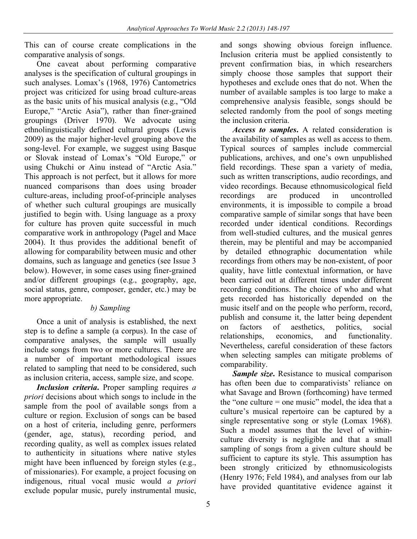This can of course create complications in the comparative analysis of songs.

One caveat about performing comparative analyses is the specification of cultural groupings in such analyses. Lomax's (1968, 1976) Cantometrics project was criticized for using broad culture-areas as the basic units of his musical analysis (e.g., "Old Europe," "Arctic Asia"), rather than finer-grained groupings (Driver 1970). We advocate using ethnolinguistically defined cultural groups (Lewis 2009) as the major higher-level grouping above the song-level. For example, we suggest using Basque or Slovak instead of Lomax's "Old Europe," or using Chukchi or Ainu instead of "Arctic Asia." This approach is not perfect, but it allows for more nuanced comparisons than does using broader culture-areas, including proof-of-principle analyses of whether such cultural groupings are musically justified to begin with. Using language as a proxy for culture has proven quite successful in much comparative work in anthropology (Pagel and Mace 2004). It thus provides the additional benefit of allowing for comparability between music and other domains, such as language and genetics (see Issue 3 below). However, in some cases using finer-grained and/or different groupings (e.g., geography, age, social status, genre, composer, gender, etc.) may be more appropriate.

## *b) Sampling*

Once a unit of analysis is established, the next step is to define a sample (a corpus). In the case of comparative analyses, the sample will usually include songs from two or more cultures. There are a number of important methodological issues related to sampling that need to be considered, such as inclusion criteria, access, sample size, and scope.

*Inclusion criteria***.** Proper sampling requires *a priori* decisions about which songs to include in the sample from the pool of available songs from a culture or region. Exclusion of songs can be based on a host of criteria, including genre, performers (gender, age, status), recording period, and recording quality, as well as complex issues related to authenticity in situations where native styles might have been influenced by foreign styles (e.g., of missionaries). For example, a project focusing on indigenous, ritual vocal music would *a priori* exclude popular music, purely instrumental music,

and songs showing obvious foreign influence. Inclusion criteria must be applied consistently to prevent confirmation bias, in which researchers simply choose those samples that support their hypotheses and exclude ones that do not. When the number of available samples is too large to make a comprehensive analysis feasible, songs should be selected randomly from the pool of songs meeting the inclusion criteria.

*Access to samples***.** A related consideration is the availability of samples as well as access to them. Typical sources of samples include commercial publications, archives, and one's own unpublished field recordings. These span a variety of media, such as written transcriptions, audio recordings, and video recordings. Because ethnomusicological field recordings are produced in uncontrolled environments, it is impossible to compile a broad comparative sample of similar songs that have been recorded under identical conditions. Recordings from well-studied cultures, and the musical genres therein, may be plentiful and may be accompanied by detailed ethnographic documentation while recordings from others may be non-existent, of poor quality, have little contextual information, or have been carried out at different times under different recording conditions. The choice of who and what gets recorded has historically depended on the music itself and on the people who perform, record, publish and consume it, the latter being dependent on factors of aesthetics, politics, social relationships, economics, and functionality. Nevertheless, careful consideration of these factors when selecting samples can mitigate problems of comparability.

*Sample size***.** Resistance to musical comparison has often been due to comparativists' reliance on what Savage and Brown (forthcoming) have termed the "one culture = one music" model, the idea that a culture's musical repertoire can be captured by a single representative song or style (Lomax 1968). Such a model assumes that the level of withinculture diversity is negligible and that a small sampling of songs from a given culture should be sufficient to capture its style. This assumption has been strongly criticized by ethnomusicologists (Henry 1976; Feld 1984), and analyses from our lab have provided quantitative evidence against it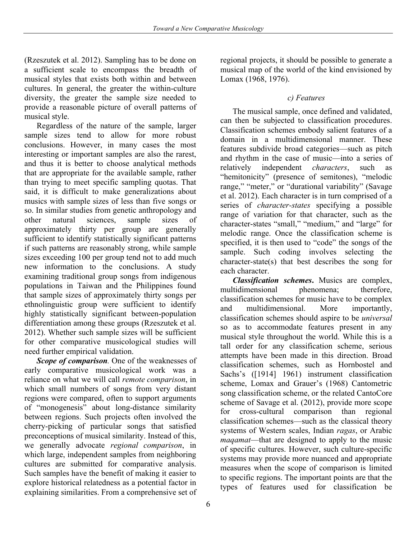(Rzeszutek et al. 2012). Sampling has to be done on a sufficient scale to encompass the breadth of musical styles that exists both within and between cultures. In general, the greater the within-culture diversity, the greater the sample size needed to provide a reasonable picture of overall patterns of musical style.

Regardless of the nature of the sample, larger sample sizes tend to allow for more robust conclusions. However, in many cases the most interesting or important samples are also the rarest, and thus it is better to choose analytical methods that are appropriate for the available sample, rather than trying to meet specific sampling quotas. That said, it is difficult to make generalizations about musics with sample sizes of less than five songs or so. In similar studies from genetic anthropology and other natural sciences, sample sizes of approximately thirty per group are generally sufficient to identify statistically significant patterns if such patterns are reasonably strong, while sample sizes exceeding 100 per group tend not to add much new information to the conclusions. A study examining traditional group songs from indigenous populations in Taiwan and the Philippines found that sample sizes of approximately thirty songs per ethnolinguistic group were sufficient to identify highly statistically significant between-population differentiation among these groups (Rzeszutek et al. 2012). Whether such sample sizes will be sufficient for other comparative musicological studies will need further empirical validation.

*Scope of comparison.* One of the weaknesses of early comparative musicological work was a reliance on what we will call *remote comparison*, in which small numbers of songs from very distant regions were compared, often to support arguments of "monogenesis" about long-distance similarity between regions. Such projects often involved the cherry-picking of particular songs that satisfied preconceptions of musical similarity. Instead of this, we generally advocate *regional comparison*, in which large, independent samples from neighboring cultures are submitted for comparative analysis. Such samples have the benefit of making it easier to explore historical relatedness as a potential factor in explaining similarities. From a comprehensive set of

regional projects, it should be possible to generate a musical map of the world of the kind envisioned by Lomax (1968, 1976).

## *c) Features*

The musical sample, once defined and validated, can then be subjected to classification procedures. Classification schemes embody salient features of a domain in a multidimensional manner. These features subdivide broad categories—such as pitch and rhythm in the case of music—into a series of relatively independent *characters*, such as "hemitonicity" (presence of semitones), "melodic range," "meter," or "durational variability" (Savage et al. 2012). Each character is in turn comprised of a series of *character-states* specifying a possible range of variation for that character, such as the character-states "small," "medium," and "large" for melodic range. Once the classification scheme is specified, it is then used to "code" the songs of the sample. Such coding involves selecting the character-state(s) that best describes the song for each character.

*Classification schemes***.** Musics are complex, multidimensional phenomena; therefore, classification schemes for music have to be complex and multidimensional. More importantly, classification schemes should aspire to be *universal* so as to accommodate features present in any musical style throughout the world. While this is a tall order for any classification scheme, serious attempts have been made in this direction. Broad classification schemes, such as Hornbostel and Sachs's ([1914] 1961) instrument classification scheme, Lomax and Grauer's (1968) Cantometric song classification scheme, or the related CantoCore scheme of Savage et al. (2012), provide more scope for cross-cultural comparison than regional classification schemes—such as the classical theory systems of Western scales, Indian *ragas*, or Arabic *maqamat*—that are designed to apply to the music of specific cultures. However, such culture-specific systems may provide more nuanced and appropriate measures when the scope of comparison is limited to specific regions. The important points are that the types of features used for classification be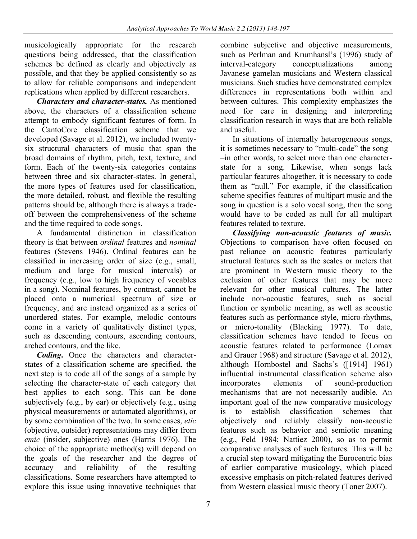musicologically appropriate for the research questions being addressed, that the classification schemes be defined as clearly and objectively as possible, and that they be applied consistently so as to allow for reliable comparisons and independent replications when applied by different researchers.

*Characters and character-states.* As mentioned above, the characters of a classification scheme attempt to embody significant features of form. In the CantoCore classification scheme that we developed (Savage et al. 2012), we included twentysix structural characters of music that span the broad domains of rhythm, pitch, text, texture, and form. Each of the twenty-six categories contains between three and six character-states. In general, the more types of features used for classification, the more detailed, robust, and flexible the resulting patterns should be, although there is always a tradeoff between the comprehensiveness of the scheme and the time required to code songs.

A fundamental distinction in classification theory is that between *ordinal* features and *nominal* features (Stevens 1946). Ordinal features can be classified in increasing order of size (e.g., small, medium and large for musical intervals) or frequency (e.g., low to high frequency of vocables in a song). Nominal features, by contrast, cannot be placed onto a numerical spectrum of size or frequency, and are instead organized as a series of unordered states. For example, melodic contours come in a variety of qualitatively distinct types, such as descending contours, ascending contours, arched contours, and the like.

*Coding***.** Once the characters and characterstates of a classification scheme are specified, the next step is to code all of the songs of a sample by selecting the character-state of each category that best applies to each song. This can be done subjectively (e.g., by ear) or objectively (e.g., using physical measurements or automated algorithms), or by some combination of the two. In some cases, *etic* (objective, outsider) representations may differ from *emic* (insider, subjective) ones (Harris 1976). The choice of the appropriate method(s) will depend on the goals of the researcher and the degree of accuracy and reliability of the resulting classifications. Some researchers have attempted to explore this issue using innovative techniques that

combine subjective and objective measurements, such as Perlman and Krumhansl's (1996) study of interval-category conceptualizations among Javanese gamelan musicians and Western classical musicians. Such studies have demonstrated complex differences in representations both within and between cultures. This complexity emphasizes the need for care in designing and interpreting classification research in ways that are both reliable and useful.

In situations of internally heterogeneous songs, it is sometimes necessary to "multi-code" the song– –in other words, to select more than one characterstate for a song. Likewise, when songs lack particular features altogether, it is necessary to code them as "null." For example, if the classification scheme specifies features of multipart music and the song in question is a solo vocal song, then the song would have to be coded as null for all multipart features related to texture.

*Classifying non-acoustic features of music.* Objections to comparison have often focused on past reliance on acoustic features—particularly structural features such as the scales or meters that are prominent in Western music theory—to the exclusion of other features that may be more relevant for other musical cultures. The latter include non-acoustic features, such as social function or symbolic meaning, as well as acoustic features such as performance style, micro-rhythms, or micro-tonality (Blacking 1977). To date, classification schemes have tended to focus on acoustic features related to performance (Lomax and Grauer 1968) and structure (Savage et al. 2012), although Hornbostel and Sachs's ([1914] 1961) influential instrumental classification scheme also incorporates elements of sound-production mechanisms that are not necessarily audible. An important goal of the new comparative musicology to establish classification schemes that objectively and reliably classify non-acoustic features such as behavior and semiotic meaning (e.g., Feld 1984; Nattiez 2000), so as to permit comparative analyses of such features. This will be a crucial step toward mitigating the Eurocentric bias of earlier comparative musicology, which placed excessive emphasis on pitch-related features derived from Western classical music theory (Toner 2007).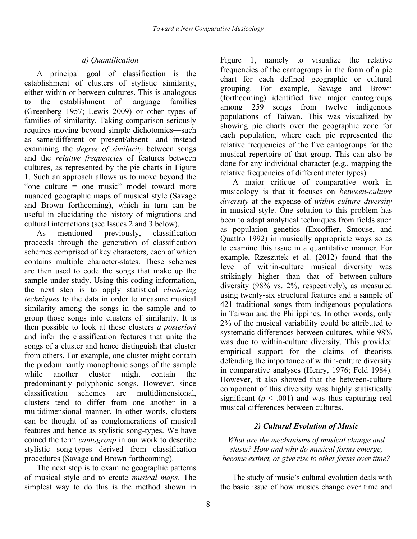# *d) Quantification*

A principal goal of classification is the establishment of clusters of stylistic similarity, either within or between cultures. This is analogous to the establishment of language families (Greenberg 1957; Lewis 2009) or other types of families of similarity. Taking comparison seriously requires moving beyond simple dichotomies—such as same/different or present/absent—and instead examining the *degree of similarity* between songs and the *relative frequencies* of features between cultures, as represented by the pie charts in Figure 1. Such an approach allows us to move beyond the "one culture = one music" model toward more nuanced geographic maps of musical style (Savage and Brown forthcoming), which in turn can be useful in elucidating the history of migrations and cultural interactions (see Issues 2 and 3 below).

As mentioned previously, classification proceeds through the generation of classification schemes comprised of key characters, each of which contains multiple character-states. These schemes are then used to code the songs that make up the sample under study. Using this coding information, the next step is to apply statistical *clustering techniques* to the data in order to measure musical similarity among the songs in the sample and to group those songs into clusters of similarity. It is then possible to look at these clusters *a posteriori* and infer the classification features that unite the songs of a cluster and hence distinguish that cluster from others. For example, one cluster might contain the predominantly monophonic songs of the sample while another cluster might contain the predominantly polyphonic songs. However, since classification schemes are multidimensional, clusters tend to differ from one another in a multidimensional manner. In other words, clusters can be thought of as conglomerations of musical features and hence as stylistic song-types. We have coined the term *cantogroup* in our work to describe stylistic song-types derived from classification procedures (Savage and Brown forthcoming).

The next step is to examine geographic patterns of musical style and to create *musical maps*. The simplest way to do this is the method shown in

Figure 1, namely to visualize the relative frequencies of the cantogroups in the form of a pie chart for each defined geographic or cultural grouping. For example, Savage and Brown (forthcoming) identified five major cantogroups among 259 songs from twelve indigenous populations of Taiwan. This was visualized by showing pie charts over the geographic zone for each population, where each pie represented the relative frequencies of the five cantogroups for the musical repertoire of that group. This can also be done for any individual character (e.g., mapping the relative frequencies of different meter types).

A major critique of comparative work in musicology is that it focuses on *between-culture diversity* at the expense of *within-culture diversity* in musical style. One solution to this problem has been to adapt analytical techniques from fields such as population genetics (Excoffier, Smouse, and Quattro 1992) in musically appropriate ways so as to examine this issue in a quantitative manner. For example, Rzeszutek et al. (2012) found that the level of within-culture musical diversity was strikingly higher than that of between-culture diversity (98% vs. 2%, respectively), as measured using twenty-six structural features and a sample of 421 traditional songs from indigenous populations in Taiwan and the Philippines. In other words, only 2% of the musical variability could be attributed to systematic differences between cultures, while 98% was due to within-culture diversity. This provided empirical support for the claims of theorists defending the importance of within-culture diversity in comparative analyses (Henry, 1976; Feld 1984). However, it also showed that the between-culture component of this diversity was highly statistically significant  $(p < .001)$  and was thus capturing real musical differences between cultures.

## *2) Cultural Evolution of Music*

*What are the mechanisms of musical change and stasis? How and why do musical forms emerge, become extinct, or give rise to other forms over time?*

The study of music's cultural evolution deals with the basic issue of how musics change over time and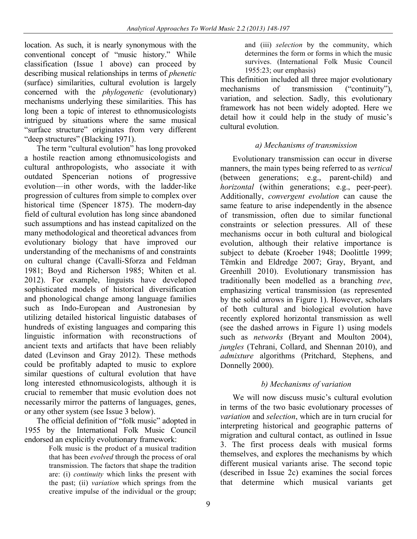location. As such, it is nearly synonymous with the conventional concept of "music history." While classification (Issue 1 above) can proceed by describing musical relationships in terms of *phenetic* (surface) similarities, cultural evolution is largely concerned with the *phylogenetic* (evolutionary) mechanisms underlying these similarities. This has long been a topic of interest to ethnomusicologists intrigued by situations where the same musical "surface structure" originates from very different "deep structures" (Blacking 1971).

The term "cultural evolution" has long provoked a hostile reaction among ethnomusicologists and cultural anthropologists, who associate it with outdated Spencerian notions of progressive evolution––in other words, with the ladder-like progression of cultures from simple to complex over historical time (Spencer 1875). The modern-day field of cultural evolution has long since abandoned such assumptions and has instead capitalized on the many methodological and theoretical advances from evolutionary biology that have improved our understanding of the mechanisms of and constraints on cultural change (Cavalli-Sforza and Feldman 1981; Boyd and Richerson 1985; Whiten et al. 2012). For example, linguists have developed sophisticated models of historical diversification and phonological change among language families such as Indo-European and Austronesian by utilizing detailed historical linguistic databases of hundreds of existing languages and comparing this linguistic information with reconstructions of ancient texts and artifacts that have been reliably dated (Levinson and Gray 2012). These methods could be profitably adapted to music to explore similar questions of cultural evolution that have long interested ethnomusicologists, although it is crucial to remember that music evolution does not necessarily mirror the patterns of languages, genes, or any other system (see Issue 3 below).

The official definition of "folk music" adopted in 1955 by the International Folk Music Council endorsed an explicitly evolutionary framework:

Folk music is the product of a musical tradition that has been *evolved* through the process of oral transmission. The factors that shape the tradition are: (i) *continuity* which links the present with the past; (ii) *variation* which springs from the creative impulse of the individual or the group;

and (iii) *selection* by the community, which determines the form or forms in which the music survives. (International Folk Music Council 1955:23; our emphasis)

This definition included all three major evolutionary mechanisms of transmission ("continuity"), variation, and selection. Sadly, this evolutionary framework has not been widely adopted. Here we detail how it could help in the study of music's cultural evolution.

# *a) Mechanisms of transmission*

Evolutionary transmission can occur in diverse manners, the main types being referred to as *vertical*  (between generations; e.g., parent-child) and *horizontal* (within generations; e.g., peer-peer). Additionally, *convergent evolution* can cause the same feature to arise independently in the absence of transmission, often due to similar functional constraints or selection pressures. All of these mechanisms occur in both cultural and biological evolution, although their relative importance is subject to debate (Kroeber 1948; Doolittle 1999; Tëmkin and Eldredge 2007; Gray, Bryant, and Greenhill 2010). Evolutionary transmission has traditionally been modelled as a branching *tree*, emphasizing vertical transmission (as represented by the solid arrows in Figure 1). However, scholars of both cultural and biological evolution have recently explored horizontal transmission as well (see the dashed arrows in Figure 1) using models such as *networks* (Bryant and Moulton 2004), *jungles* (Tehrani, Collard, and Shennan 2010), and *admixture* algorithms (Pritchard, Stephens, and Donnelly 2000).

# *b) Mechanisms of variation*

We will now discuss music's cultural evolution in terms of the two basic evolutionary processes of *variation* and *selection*, which are in turn crucial for interpreting historical and geographic patterns of migration and cultural contact, as outlined in Issue 3. The first process deals with musical forms themselves, and explores the mechanisms by which different musical variants arise. The second topic (described in Issue 2c) examines the social forces that determine which musical variants get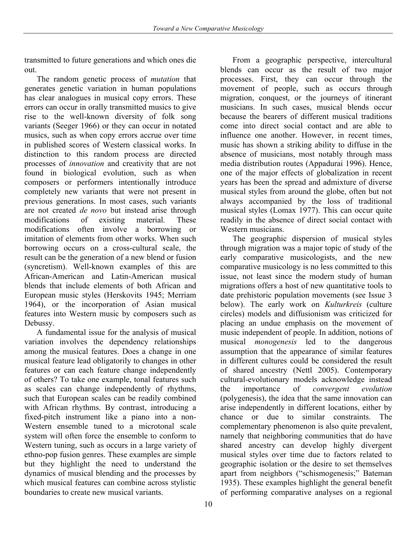transmitted to future generations and which ones die out.

The random genetic process of *mutation* that generates genetic variation in human populations has clear analogues in musical copy errors. These errors can occur in orally transmitted musics to give rise to the well-known diversity of folk song variants (Seeger 1966) or they can occur in notated musics, such as when copy errors accrue over time in published scores of Western classical works. In distinction to this random process are directed processes of *innovation* and creativity that are not found in biological evolution, such as when composers or performers intentionally introduce completely new variants that were not present in previous generations. In most cases, such variants are not created *de novo* but instead arise through modifications of existing material. These modifications often involve a borrowing or imitation of elements from other works. When such borrowing occurs on a cross-cultural scale, the result can be the generation of a new blend or fusion (syncretism). Well-known examples of this are African-American and Latin-American musical blends that include elements of both African and European music styles (Herskovits 1945; Merriam 1964), or the incorporation of Asian musical features into Western music by composers such as Debussy.

A fundamental issue for the analysis of musical variation involves the dependency relationships among the musical features. Does a change in one musical feature lead obligatorily to changes in other features or can each feature change independently of others? To take one example, tonal features such as scales can change independently of rhythms, such that European scales can be readily combined with African rhythms. By contrast, introducing a fixed-pitch instrument like a piano into a non-Western ensemble tuned to a microtonal scale system will often force the ensemble to conform to Western tuning, such as occurs in a large variety of ethno-pop fusion genres. These examples are simple but they highlight the need to understand the dynamics of musical blending and the processes by which musical features can combine across stylistic boundaries to create new musical variants.

From a geographic perspective, intercultural blends can occur as the result of two major processes. First, they can occur through the movement of people, such as occurs through migration, conquest, or the journeys of itinerant musicians. In such cases, musical blends occur because the bearers of different musical traditions come into direct social contact and are able to influence one another. However, in recent times, music has shown a striking ability to diffuse in the absence of musicians, most notably through mass media distribution routes (Appadurai 1996). Hence, one of the major effects of globalization in recent years has been the spread and admixture of diverse musical styles from around the globe, often but not always accompanied by the loss of traditional musical styles (Lomax 1977). This can occur quite readily in the absence of direct social contact with Western musicians.

The geographic dispersion of musical styles through migration was a major topic of study of the early comparative musicologists, and the new comparative musicology is no less committed to this issue, not least since the modern study of human migrations offers a host of new quantitative tools to date prehistoric population movements (see Issue 3 below). The early work on *Kulturkreis* (culture circles) models and diffusionism was criticized for placing an undue emphasis on the movement of music independent of people. In addition, notions of musical *monogenesis* led to the dangerous assumption that the appearance of similar features in different cultures could be considered the result of shared ancestry (Nettl 2005). Contemporary cultural-evolutionary models acknowledge instead the importance of *convergent evolution* (polygenesis), the idea that the same innovation can arise independently in different locations, either by chance or due to similar constraints. The complementary phenomenon is also quite prevalent, namely that neighboring communities that do have shared ancestry can develop highly divergent musical styles over time due to factors related to geographic isolation or the desire to set themselves apart from neighbors ("schismogenesis;" Bateman 1935). These examples highlight the general benefit of performing comparative analyses on a regional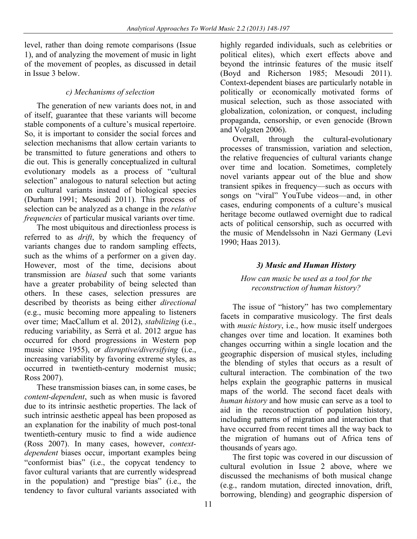level, rather than doing remote comparisons (Issue 1), and of analyzing the movement of music in light of the movement of peoples, as discussed in detail in Issue 3 below.

#### *c) Mechanisms of selection*

The generation of new variants does not, in and of itself, guarantee that these variants will become stable components of a culture's musical repertoire. So, it is important to consider the social forces and selection mechanisms that allow certain variants to be transmitted to future generations and others to die out. This is generally conceptualized in cultural evolutionary models as a process of "cultural selection" analogous to natural selection but acting on cultural variants instead of biological species (Durham 1991; Mesoudi 2011). This process of selection can be analyzed as a change in the *relative frequencies* of particular musical variants over time.

The most ubiquitous and directionless process is referred to as *drift*, by which the frequency of variants changes due to random sampling effects, such as the whims of a performer on a given day. However, most of the time, decisions about transmission are *biased* such that some variants have a greater probability of being selected than others. In these cases, selection pressures are described by theorists as being either *directional* (e.g., music becoming more appealing to listeners over time; MacCallum et al. 2012), *stabilizing* (i.e., reducing variability, as Serrà et al. 2012 argue has occurred for chord progressions in Western pop music since 1955), or *disruptive/diversifying* (i.e., increasing variability by favoring extreme styles, as occurred in twentieth-century modernist music; Ross 2007).

These transmission biases can, in some cases, be *content-dependent*, such as when music is favored due to its intrinsic aesthetic properties. The lack of such intrinsic aesthetic appeal has been proposed as an explanation for the inability of much post-tonal twentieth-century music to find a wide audience (Ross 2007). In many cases, however, *contextdependent* biases occur, important examples being "conformist bias" (i.e., the copycat tendency to favor cultural variants that are currently widespread in the population) and "prestige bias" (i.e., the tendency to favor cultural variants associated with

highly regarded individuals, such as celebrities or political elites), which exert effects above and beyond the intrinsic features of the music itself (Boyd and Richerson 1985; Mesoudi 2011). Context-dependent biases are particularly notable in politically or economically motivated forms of musical selection, such as those associated with globalization, colonization, or conquest, including propaganda, censorship, or even genocide (Brown and Volgsten 2006).

Overall, through the cultural-evolutionary processes of transmission, variation and selection, the relative frequencies of cultural variants change over time and location. Sometimes, completely novel variants appear out of the blue and show transient spikes in frequency—such as occurs with songs on "viral" YouTube videos—and, in other cases, enduring components of a culture's musical heritage become outlawed overnight due to radical acts of political censorship, such as occurred with the music of Mendelssohn in Nazi Germany (Levi 1990; Haas 2013).

## *3) Music and Human History*

#### *How can music be used as a tool for the reconstruction of human history?*

The issue of "history" has two complementary facets in comparative musicology. The first deals with *music history*, i.e., how music itself undergoes changes over time and location. It examines both changes occurring within a single location and the geographic dispersion of musical styles, including the blending of styles that occurs as a result of cultural interaction. The combination of the two helps explain the geographic patterns in musical maps of the world. The second facet deals with *human history* and how music can serve as a tool to aid in the reconstruction of population history, including patterns of migration and interaction that have occurred from recent times all the way back to the migration of humans out of Africa tens of thousands of years ago.

The first topic was covered in our discussion of cultural evolution in Issue 2 above, where we discussed the mechanisms of both musical change (e.g., random mutation, directed innovation, drift, borrowing, blending) and geographic dispersion of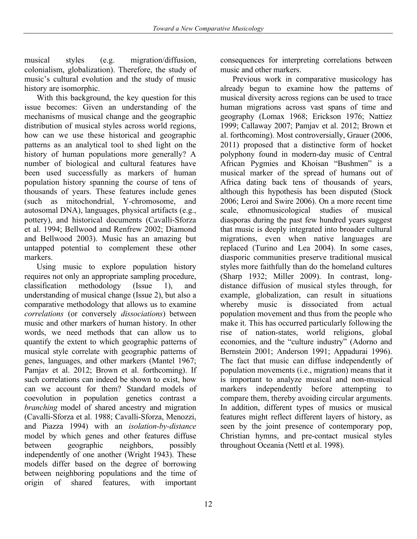musical styles (e.g. migration/diffusion, colonialism, globalization). Therefore, the study of music's cultural evolution and the study of music history are isomorphic.

With this background, the key question for this issue becomes: Given an understanding of the mechanisms of musical change and the geographic distribution of musical styles across world regions, how can we use these historical and geographic patterns as an analytical tool to shed light on the history of human populations more generally? A number of biological and cultural features have been used successfully as markers of human population history spanning the course of tens of thousands of years. These features include genes (such as mitochondrial, Y-chromosome, and autosomal DNA), languages, physical artifacts (e.g., pottery), and historical documents (Cavalli-Sforza et al. 1994; Bellwood and Renfrew 2002; Diamond and Bellwood 2003). Music has an amazing but untapped potential to complement these other markers.

Using music to explore population history requires not only an appropriate sampling procedure, classification methodology (Issue 1), and understanding of musical change (Issue 2), but also a comparative methodology that allows us to examine *correlations* (or conversely *dissociations*) between music and other markers of human history. In other words, we need methods that can allow us to quantify the extent to which geographic patterns of musical style correlate with geographic patterns of genes, languages, and other markers (Mantel 1967; Pamjav et al. 2012; Brown et al. forthcoming). If such correlations can indeed be shown to exist, how can we account for them? Standard models of coevolution in population genetics contrast a *branching* model of shared ancestry and migration (Cavalli-Sforza et al. 1988; Cavalli-Sforza, Menozzi, and Piazza 1994) with an *isolation-by-distance*  model by which genes and other features diffuse between geographic neighbors, possibly independently of one another (Wright 1943). These models differ based on the degree of borrowing between neighboring populations and the time of origin of shared features, with important

consequences for interpreting correlations between music and other markers.

Previous work in comparative musicology has already begun to examine how the patterns of musical diversity across regions can be used to trace human migrations across vast spans of time and geography (Lomax 1968; Erickson 1976; Nattiez 1999; Callaway 2007; Pamjav et al. 2012; Brown et al. forthcoming). Most controversially, Grauer (2006, 2011) proposed that a distinctive form of hocket polyphony found in modern-day music of Central African Pygmies and Khoisan "Bushmen" is a musical marker of the spread of humans out of Africa dating back tens of thousands of years, although this hypothesis has been disputed (Stock 2006; Leroi and Swire 2006). On a more recent time scale, ethnomusicological studies of musical diasporas during the past few hundred years suggest that music is deeply integrated into broader cultural migrations, even when native languages are replaced (Turino and Lea 2004). In some cases, diasporic communities preserve traditional musical styles more faithfully than do the homeland cultures (Sharp 1932; Miller 2009). In contrast, longdistance diffusion of musical styles through, for example, globalization, can result in situations whereby music is dissociated from actual population movement and thus from the people who make it. This has occurred particularly following the rise of nation-states, world religions, global economies, and the "culture industry" (Adorno and Bernstein 2001; Anderson 1991; Appadurai 1996). The fact that music can diffuse independently of population movements (i.e., migration) means that it is important to analyze musical and non-musical markers independently before attempting to compare them, thereby avoiding circular arguments. In addition, different types of musics or musical features might reflect different layers of history, as seen by the joint presence of contemporary pop, Christian hymns, and pre-contact musical styles throughout Oceania (Nettl et al. 1998).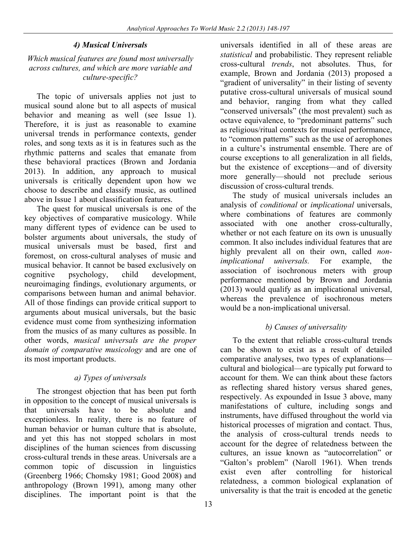## *4) Musical Universals*

#### *Which musical features are found most universally across cultures, and which are more variable and culture-specific?*

The topic of universals applies not just to musical sound alone but to all aspects of musical behavior and meaning as well (see Issue 1). Therefore, it is just as reasonable to examine universal trends in performance contexts, gender roles, and song texts as it is in features such as the rhythmic patterns and scales that emanate from these behavioral practices (Brown and Jordania 2013). In addition, any approach to musical universals is critically dependent upon how we choose to describe and classify music, as outlined above in Issue 1 about classification features.

The quest for musical universals is one of the key objectives of comparative musicology. While many different types of evidence can be used to bolster arguments about universals, the study of musical universals must be based, first and foremost, on cross-cultural analyses of music and musical behavior. It cannot be based exclusively on cognitive psychology, child development, neuroimaging findings, evolutionary arguments, or comparisons between human and animal behavior. All of those findings can provide critical support to arguments about musical universals, but the basic evidence must come from synthesizing information from the musics of as many cultures as possible. In other words, *musical universals are the proper domain of comparative musicology* and are one of its most important products.

## *a) Types of universals*

The strongest objection that has been put forth in opposition to the concept of musical universals is that universals have to be absolute and exceptionless. In reality, there is no feature of human behavior or human culture that is absolute, and yet this has not stopped scholars in most disciplines of the human sciences from discussing cross-cultural trends in these areas. Universals are a common topic of discussion in linguistics (Greenberg 1966; Chomsky 1981; Good 2008) and anthropology (Brown 1991), among many other disciplines. The important point is that the

universals identified in all of these areas are *statistical* and probabilistic. They represent reliable cross-cultural *trends*, not absolutes. Thus, for example, Brown and Jordania (2013) proposed a "gradient of universality" in their listing of seventy putative cross-cultural universals of musical sound and behavior, ranging from what they called "conserved universals" (the most prevalent) such as octave equivalence, to "predominant patterns" such as religious/ritual contexts for musical performance, to "common patterns" such as the use of aerophones in a culture's instrumental ensemble. There are of course exceptions to all generalization in all fields, but the existence of exceptions—and of diversity more generally—should not preclude serious discussion of cross-cultural trends.

The study of musical universals includes an analysis of *conditional* or *implicational* universals, where combinations of features are commonly associated with one another cross-culturally, whether or not each feature on its own is unusually common. It also includes individual features that are highly prevalent all on their own, called *nonimplicational universals.* For example, the association of isochronous meters with group performance mentioned by Brown and Jordania (2013) would qualify as an implicational universal, whereas the prevalence of isochronous meters would be a non-implicational universal.

## *b) Causes of universality*

To the extent that reliable cross-cultural trends can be shown to exist as a result of detailed comparative analyses, two types of explanations cultural and biological—are typically put forward to account for them. We can think about these factors as reflecting shared history versus shared genes, respectively. As expounded in Issue 3 above, many manifestations of culture, including songs and instruments, have diffused throughout the world via historical processes of migration and contact. Thus, the analysis of cross-cultural trends needs to account for the degree of relatedness between the cultures, an issue known as "autocorrelation" or "Galton's problem" (Naroll 1961). When trends exist even after controlling for historical relatedness, a common biological explanation of universality is that the trait is encoded at the genetic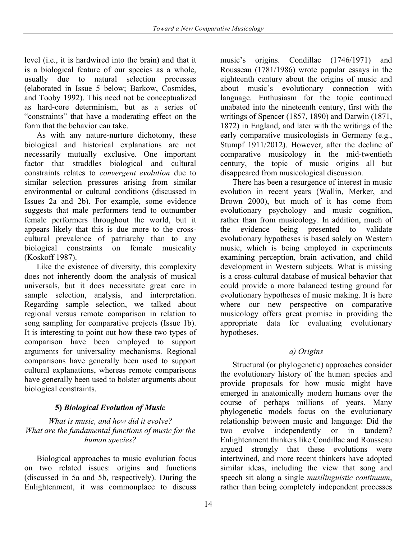level (i.e., it is hardwired into the brain) and that it is a biological feature of our species as a whole, usually due to natural selection processes (elaborated in Issue 5 below; Barkow, Cosmides, and Tooby 1992). This need not be conceptualized as hard-core determinism, but as a series of "constraints" that have a moderating effect on the form that the behavior can take.

As with any nature-nurture dichotomy, these biological and historical explanations are not necessarily mutually exclusive. One important factor that straddles biological and cultural constraints relates to *convergent evolution* due to similar selection pressures arising from similar environmental or cultural conditions (discussed in Issues 2a and 2b). For example, some evidence suggests that male performers tend to outnumber female performers throughout the world, but it appears likely that this is due more to the crosscultural prevalence of patriarchy than to any biological constraints on female musicality (Koskoff 1987).

Like the existence of diversity, this complexity does not inherently doom the analysis of musical universals, but it does necessitate great care in sample selection, analysis, and interpretation. Regarding sample selection, we talked about regional versus remote comparison in relation to song sampling for comparative projects (Issue 1b). It is interesting to point out how these two types of comparison have been employed to support arguments for universality mechanisms. Regional comparisons have generally been used to support cultural explanations, whereas remote comparisons have generally been used to bolster arguments about biological constraints.

# **5)** *Biological Evolution of Music*

#### *What is music, and how did it evolve? What are the fundamental functions of music for the human species?*

Biological approaches to music evolution focus on two related issues: origins and functions (discussed in 5a and 5b, respectively). During the Enlightenment, it was commonplace to discuss

music's origins. Condillac (1746/1971) and Rousseau (1781/1986) wrote popular essays in the eighteenth century about the origins of music and about music's evolutionary connection with language. Enthusiasm for the topic continued unabated into the nineteenth century, first with the writings of Spencer (1857, 1890) and Darwin (1871, 1872) in England, and later with the writings of the early comparative musicologists in Germany (e.g., Stumpf 1911/2012). However, after the decline of comparative musicology in the mid-twentieth century, the topic of music origins all but disappeared from musicological discussion.

There has been a resurgence of interest in music evolution in recent years (Wallin, Merker, and Brown 2000), but much of it has come from evolutionary psychology and music cognition, rather than from musicology. In addition, much of the evidence being presented to validate evolutionary hypotheses is based solely on Western music, which is being employed in experiments examining perception, brain activation, and child development in Western subjects. What is missing is a cross-cultural database of musical behavior that could provide a more balanced testing ground for evolutionary hypotheses of music making. It is here where our new perspective on comparative musicology offers great promise in providing the appropriate data for evaluating evolutionary hypotheses.

# *a) Origins*

Structural (or phylogenetic) approaches consider the evolutionary history of the human species and provide proposals for how music might have emerged in anatomically modern humans over the course of perhaps millions of years. Many phylogenetic models focus on the evolutionary relationship between music and language: Did the two evolve independently or in tandem? Enlightenment thinkers like Condillac and Rousseau argued strongly that these evolutions were intertwined, and more recent thinkers have adopted similar ideas, including the view that song and speech sit along a single *musilinguistic continuum*, rather than being completely independent processes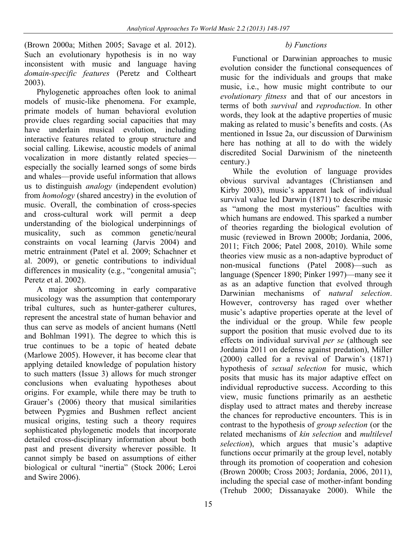(Brown 2000a; Mithen 2005; Savage et al. 2012). Such an evolutionary hypothesis is in no way inconsistent with music and language having *domain-specific features* (Peretz and Coltheart 2003).

Phylogenetic approaches often look to animal models of music-like phenomena. For example, primate models of human behavioral evolution provide clues regarding social capacities that may have underlain musical evolution, including interactive features related to group structure and social calling. Likewise, acoustic models of animal vocalization in more distantly related species especially the socially learned songs of some birds and whales—provide useful information that allows us to distinguish *analogy* (independent evolution) from *homology* (shared ancestry) in the evolution of music. Overall, the combination of cross-species and cross-cultural work will permit a deep understanding of the biological underpinnings of musicality, such as common genetic/neural constraints on vocal learning (Jarvis 2004) and metric entrainment (Patel et al. 2009; Schachner et al. 2009), or genetic contributions to individual differences in musicality (e.g., "congenital amusia"; Peretz et al. 2002).

A major shortcoming in early comparative musicology was the assumption that contemporary tribal cultures, such as hunter-gatherer cultures, represent the ancestral state of human behavior and thus can serve as models of ancient humans (Nettl and Bohlman 1991). The degree to which this is true continues to be a topic of heated debate (Marlowe 2005). However, it has become clear that applying detailed knowledge of population history to such matters (Issue 3) allows for much stronger conclusions when evaluating hypotheses about origins. For example, while there may be truth to Grauer's (2006) theory that musical similarities between Pygmies and Bushmen reflect ancient musical origins, testing such a theory requires sophisticated phylogenetic models that incorporate detailed cross-disciplinary information about both past and present diversity wherever possible. It cannot simply be based on assumptions of either biological or cultural "inertia" (Stock 2006; Leroi and Swire 2006).

## *b) Functions*

Functional or Darwinian approaches to music evolution consider the functional consequences of music for the individuals and groups that make music, i.e., how music might contribute to our *evolutionary fitness* and that of our ancestors in terms of both *survival* and *reproduction*. In other words, they look at the adaptive properties of music making as related to music's benefits and costs. (As mentioned in Issue 2a, our discussion of Darwinism here has nothing at all to do with the widely discredited Social Darwinism of the nineteenth century.)

While the evolution of language provides obvious survival advantages (Christiansen and Kirby 2003), music's apparent lack of individual survival value led Darwin (1871) to describe music as "among the most mysterious" faculties with which humans are endowed. This sparked a number of theories regarding the biological evolution of music (reviewed in Brown 2000b; Jordania, 2006, 2011; Fitch 2006; Patel 2008, 2010). While some theories view music as a non-adaptive byproduct of non-musical functions (Patel 2008)—such as language (Spencer 1890; Pinker 1997)—many see it as as an adaptive function that evolved through Darwinian mechanisms of *natural selection*. However, controversy has raged over whether music's adaptive properties operate at the level of the individual or the group. While few people support the position that music evolved due to its effects on individual survival *per se* (although see Jordania 2011 on defense against predation), Miller (2000) called for a revival of Darwin's (1871) hypothesis of *sexual selection* for music, which posits that music has its major adaptive effect on individual reproductive success. According to this view, music functions primarily as an aesthetic display used to attract mates and thereby increase the chances for reproductive encounters. This is in contrast to the hypothesis of *group selection* (or the related mechanisms of *kin selection* and *multilevel selection*), which argues that music's adaptive functions occur primarily at the group level, notably through its promotion of cooperation and cohesion (Brown 2000b; Cross 2003; Jordania, 2006, 2011), including the special case of mother-infant bonding (Trehub 2000; Dissanayake 2000). While the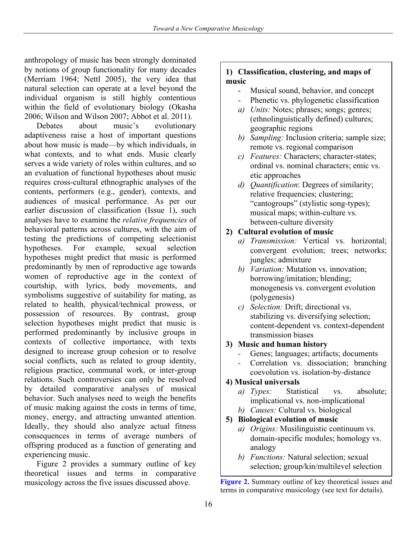anthropology of music has been strongly dominated by notions of group functionality for many decades (Merriam 1964; Nettl 2005), the very idea that natural selection can operate at a level beyond the individual organism is still highly contentious within the field of evolutionary biology (Okasha 2006; Wilson and Wilson 2007; Abbot et al. 2011).

Debates about music's evolutionary adaptiveness raise a host of important questions about how music is made—by which individuals, in what contexts, and to what ends. Music clearly serves a wide variety of roles within cultures, and so an evaluation of functional hypotheses about music requires cross-cultural ethnographic analyses of the contents, performers (e.g., gender), contexts, and audiences of musical performance. As per our earlier discussion of classification (Issue 1), such analyses have to examine the *relative frequencies* of behavioral patterns across cultures, with the aim of testing the predictions of competing selectionist hypotheses. For example, sexual selection hypotheses might predict that music is performed predominantly by men of reproductive age towards women of reproductive age in the context of courtship, with lyrics, body movements, and symbolisms suggestive of suitability for mating, as related to health, physical/technical prowess, or possession of resources. By contrast, group selection hypotheses might predict that music is performed predominantly by inclusive groups in contexts of collective importance, with texts designed to increase group cohesion or to resolve social conflicts, such as related to group identity, religious practice, communal work, or inter-group relations. Such controversies can only be resolved by detailed comparative analyses of musical behavior. Such analyses need to weigh the benefits of music making against the costs in terms of time, money, energy, and attracting unwanted attention. Ideally, they should also analyze actual fitness consequences in terms of average numbers of offspring produced as a function of generating and experiencing music.

Figure 2 provides a summary outline of key theoretical issues and terms in comparative musicology across the five issues discussed above. **Figure 2.** Summary outline of key theoretical issues and

#### **1) Classification, clustering, and maps of music**

- Musical sound, behavior, and concept
- Phenetic vs. phylogenetic classification
- *a) Units:* Notes; phrases; songs; genres; (ethnolinguistically defined) cultures; geographic regions
- *b) Sampling:* Inclusion criteria; sample size; remote vs. regional comparison
- *c) Features:* Characters; character-states; ordinal vs. nominal characters; emic vs. etic approaches
- *d) Quantification*: Degrees of similarity; relative frequencies; clustering; "cantogroups" (stylistic song-types); musical maps; within-culture vs. between-culture diversity

## **2) Cultural evolution of music**

- *a) Transmission:* Vertical vs. horizontal; convergent evolution; trees; networks; jungles; admixture
- *b) Variation:* Mutation vs. innovation; borrowing/imitation; blending; monogenesis vs. convergent evolution (polygenesis)
- *c) Selection:* Drift; directional vs. stabilizing vs. diversifying selection; content-dependent vs. context-dependent transmission biases

## **3) Music and human history**

- *-* Genes; languages; artifacts; documents
- Correlation vs. dissociation; branching coevolution vs. isolation-by-distance

## **4) Musical universals**

- *a) Types:* Statistical vs. absolute; implicational vs. non-implicational
- *b) Causes:* Cultural vs. biological
- **5) Biological evolution of music**
	- *a) Origins:* Musilinguistic continuum vs. domain-specific modules; homology vs. analogy
	- *b) Functions:* Natural selection; sexual selection; group/kin/multilevel selection

terms in comparative musicology (see text for details).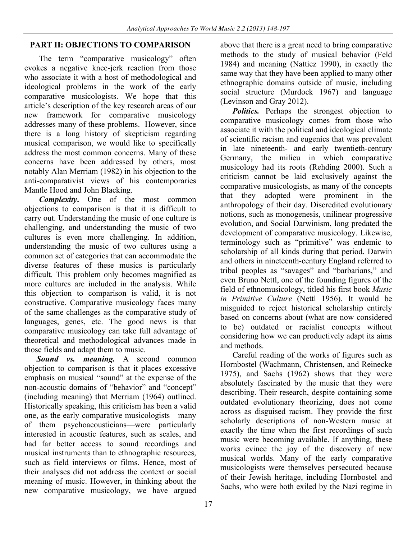## **PART II: OBJECTIONS TO COMPARISON**

The term "comparative musicology" often evokes a negative knee-jerk reaction from those who associate it with a host of methodological and ideological problems in the work of the early comparative musicologists. We hope that this article's description of the key research areas of our new framework for comparative musicology addresses many of these problems. However, since there is a long history of skepticism regarding musical comparison, we would like to specifically address the most common concerns. Many of these concerns have been addressed by others, most notably Alan Merriam (1982) in his objection to the anti-comparativist views of his contemporaries Mantle Hood and John Blacking.

*Complexity***.** One of the most common objections to comparison is that it is difficult to carry out. Understanding the music of one culture is challenging, and understanding the music of two cultures is even more challenging. In addition, understanding the music of two cultures using a common set of categories that can accommodate the diverse features of these musics is particularly difficult. This problem only becomes magnified as more cultures are included in the analysis. While this objection to comparison is valid, it is not constructive. Comparative musicology faces many of the same challenges as the comparative study of languages, genes, etc. The good news is that comparative musicology can take full advantage of theoretical and methodological advances made in those fields and adapt them to music.

*Sound vs. meaning.* A second common objection to comparison is that it places excessive emphasis on musical "sound" at the expense of the non-acoustic domains of "behavior" and "concept" (including meaning) that Merriam (1964) outlined. Historically speaking, this criticism has been a valid one, as the early comparative musicologists—many of them psychoacousticians—were particularly interested in acoustic features, such as scales, and had far better access to sound recordings and musical instruments than to ethnographic resources, such as field interviews or films. Hence, most of their analyses did not address the context or social meaning of music. However, in thinking about the new comparative musicology, we have argued

above that there is a great need to bring comparative methods to the study of musical behavior (Feld 1984) and meaning (Nattiez 1990), in exactly the same way that they have been applied to many other ethnographic domains outside of music, including social structure (Murdock 1967) and language (Levinson and Gray 2012).

*Politics.* Perhaps the strongest objection to comparative musicology comes from those who associate it with the political and ideological climate of scientific racism and eugenics that was prevalent in late nineteenth- and early twentieth-century Germany, the milieu in which comparative musicology had its roots (Rehding 2000). Such a criticism cannot be laid exclusively against the comparative musicologists, as many of the concepts that they adopted were prominent in the anthropology of their day. Discredited evolutionary notions, such as monogenesis, unilinear progressive evolution, and Social Darwinism, long predated the development of comparative musicology. Likewise, terminology such as "primitive" was endemic to scholarship of all kinds during that period. Darwin and others in nineteenth-century England referred to tribal peoples as "savages" and "barbarians," and even Bruno Nettl, one of the founding figures of the field of ethnomusicology, titled his first book *Music in Primitive Culture* (Nettl 1956). It would be misguided to reject historical scholarship entirely based on concerns about (what are now considered to be) outdated or racialist concepts without considering how we can productively adapt its aims and methods.

Careful reading of the works of figures such as Hornbostel (Wachmann, Christensen, and Reinecke 1975), and Sachs (1962) shows that they were absolutely fascinated by the music that they were describing. Their research, despite containing some outdated evolutionary theorizing, does not come across as disguised racism. They provide the first scholarly descriptions of non-Western music at exactly the time when the first recordings of such music were becoming available. If anything, these works evince the joy of the discovery of new musical worlds. Many of the early comparative musicologists were themselves persecuted because of their Jewish heritage, including Hornbostel and Sachs, who were both exiled by the Nazi regime in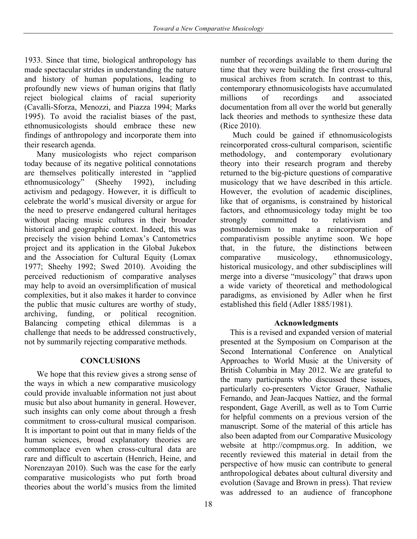1933. Since that time, biological anthropology has made spectacular strides in understanding the nature and history of human populations, leading to profoundly new views of human origins that flatly reject biological claims of racial superiority (Cavalli-Sforza, Menozzi, and Piazza 1994; Marks 1995). To avoid the racialist biases of the past, ethnomusicologists should embrace these new findings of anthropology and incorporate them into their research agenda.

Many musicologists who reject comparison today because of its negative political connotations are themselves politically interested in "applied ethnomusicology" (Sheehy 1992), including activism and pedagogy. However, it is difficult to celebrate the world's musical diversity or argue for the need to preserve endangered cultural heritages without placing music cultures in their broader historical and geographic context. Indeed, this was precisely the vision behind Lomax's Cantometrics project and its application in the Global Jukebox and the Association for Cultural Equity (Lomax 1977; Sheehy 1992; Swed 2010). Avoiding the perceived reductionism of comparative analyses may help to avoid an oversimplification of musical complexities, but it also makes it harder to convince the public that music cultures are worthy of study, archiving, funding, or political recognition. Balancing competing ethical dilemmas is a challenge that needs to be addressed constructively, not by summarily rejecting comparative methods.

## **CONCLUSIONS**

We hope that this review gives a strong sense of the ways in which a new comparative musicology could provide invaluable information not just about music but also about humanity in general. However, such insights can only come about through a fresh commitment to cross-cultural musical comparison. It is important to point out that in many fields of the human sciences, broad explanatory theories are commonplace even when cross-cultural data are rare and difficult to ascertain (Henrich, Heine, and Norenzayan 2010). Such was the case for the early comparative musicologists who put forth broad theories about the world's musics from the limited

number of recordings available to them during the time that they were building the first cross-cultural musical archives from scratch. In contrast to this, contemporary ethnomusicologists have accumulated millions of recordings and associated documentation from all over the world but generally lack theories and methods to synthesize these data (Rice 2010).

Much could be gained if ethnomusicologists reincorporated cross-cultural comparison, scientific methodology, and contemporary evolutionary theory into their research program and thereby returned to the big-picture questions of comparative musicology that we have described in this article. However, the evolution of academic disciplines, like that of organisms, is constrained by historical factors, and ethnomusicology today might be too strongly committed to relativism and postmodernism to make a reincorporation of comparativism possible anytime soon. We hope that, in the future, the distinctions between comparative musicology, ethnomusicology, historical musicology, and other subdisciplines will merge into a diverse "musicology" that draws upon a wide variety of theoretical and methodological paradigms, as envisioned by Adler when he first established this field (Adler 1885/1981).

#### **Acknowledgments**

This is a revised and expanded version of material presented at the Symposium on Comparison at the Second International Conference on Analytical Approaches to World Music at the University of British Columbia in May 2012. We are grateful to the many participants who discussed these issues, particularly co-presenters Victor Grauer, Nathalie Fernando, and Jean-Jacques Nattiez, and the formal respondent, Gage Averill, as well as to Tom Currie for helpful comments on a previous version of the manuscript. Some of the material of this article has also been adapted from our Comparative Musicology website at http://compmus.org. In addition, we recently reviewed this material in detail from the perspective of how music can contribute to general anthropological debates about cultural diversity and evolution (Savage and Brown in press). That review was addressed to an audience of francophone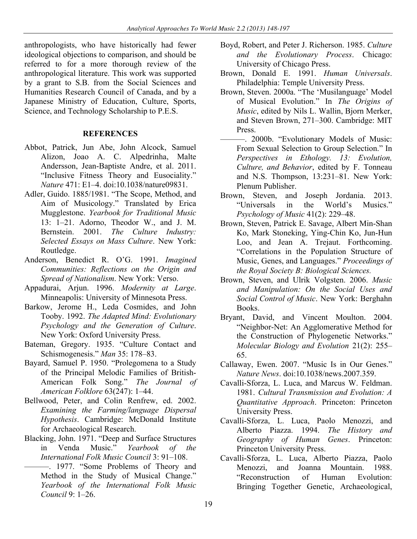anthropologists, who have historically had fewer ideological objections to comparison, and should be referred to for a more thorough review of the anthropological literature. This work was supported by a grant to S.B. from the Social Sciences and Humanities Research Council of Canada, and by a Japanese Ministry of Education, Culture, Sports, Science, and Technology Scholarship to P.E.S.

#### **REFERENCES**

- Abbot, Patrick, Jun Abe, John Alcock, Samuel Alizon, Joao A. C. Alpedrinha, Malte Andersson, Jean-Baptiste Andre, et al. 2011. "Inclusive Fitness Theory and Eusociality." *Nature* 471: E1–4. doi:10.1038/nature09831.
- Adler, Guido. 1885/1981. "The Scope, Method, and Aim of Musicology." Translated by Erica Mugglestone. *Yearbook for Traditional Music* 13: 1–21. Adorno, Theodor W., and J. M. Bernstein. 2001. *The Culture Industry: Selected Essays on Mass Culture*. New York: Routledge.
- Anderson, Benedict R. O'G. 1991. *Imagined Communities: Reflections on the Origin and Spread of Nationalism*. New York: Verso.
- Appadurai, Arjun. 1996. *Modernity at Large*. Minneapolis: University of Minnesota Press.
- Barkow, Jerome H., Leda Cosmides, and John Tooby. 1992. *The Adapted Mind: Evolutionary Psychology and the Generation of Culture*. New York: Oxford University Press.
- Bateman, Gregory. 1935. "Culture Contact and Schismogenesis." *Man* 35: 178–83.
- Bayard, Samuel P. 1950. "Prolegomena to a Study of the Principal Melodic Families of British-American Folk Song." *The Journal of American Folklore* 63(247): 1–44.
- Bellwood, Peter, and Colin Renfrew, ed. 2002. *Examining the Farming/language Dispersal Hypothesis*. Cambridge: McDonald Institute for Archaeological Research.
- Blacking, John. 1971. "Deep and Surface Structures in Venda Music." *Yearbook of the International Folk Music Council* 3: 91–108.
	- ———. 1977. "Some Problems of Theory and Method in the Study of Musical Change." *Yearbook of the International Folk Music Council* 9: 1–26.
- Boyd, Robert, and Peter J. Richerson. 1985. *Culture and the Evolutionary Process*. Chicago: University of Chicago Press.
- Brown, Donald E. 1991. *Human Universals*. Philadelphia: Temple University Press.
- Brown, Steven. 2000a. "The 'Musilanguage' Model of Musical Evolution." In *The Origins of Music*, edited by Nils L. Wallin, Bjorn Merker, and Steven Brown, 271–300. Cambridge: MIT Press.
- ———. 2000b. "Evolutionary Models of Music: From Sexual Selection to Group Selection." In *Perspectives in Ethology. 13: Evolution, Culture, and Behavior*, edited by F. Tonneau and N.S. Thompson, 13:231–81. New York: Plenum Publisher.
- Brown, Steven, and Joseph Jordania. 2013. "Universals in the World's Musics." *Psychology of Music* 41(2): 229–48.
- Brown, Steven, Patrick E. Savage, Albert Min-Shan Ko, Mark Stoneking, Ying-Chin Ko, Jun-Hun Loo, and Jean A. Trejaut. Forthcoming. "Correlations in the Population Structure of Music, Genes, and Languages." *Proceedings of the Royal Society B: Biological Sciences.*
- Brown, Steven, and Ulrik Volgsten. 2006. *Music and Manipulation: On the Social Uses and Social Control of Music*. New York: Berghahn Books.
- Bryant, David, and Vincent Moulton. 2004. "Neighbor-Net: An Agglomerative Method for the Construction of Phylogenetic Networks." *Molecular Biology and Evolution* 21(2): 255– 65.
- Callaway, Ewen. 2007. "Music Is in Our Genes." *Nature News*. doi:10.1038/news.2007.359.
- Cavalli-Sforza, L. Luca, and Marcus W. Feldman. 1981. *Cultural Transmission and Evolution: A Quantitative Approach*. Princeton: Princeton University Press.
- Cavalli-Sforza, L. Luca, Paolo Menozzi, and Alberto Piazza. 1994. *The History and Geography of Human Genes*. Princeton: Princeton University Press.
- Cavalli-Sforza, L. Luca, Alberto Piazza, Paolo Menozzi, and Joanna Mountain. 1988. "Reconstruction of Human Evolution: Bringing Together Genetic, Archaeological,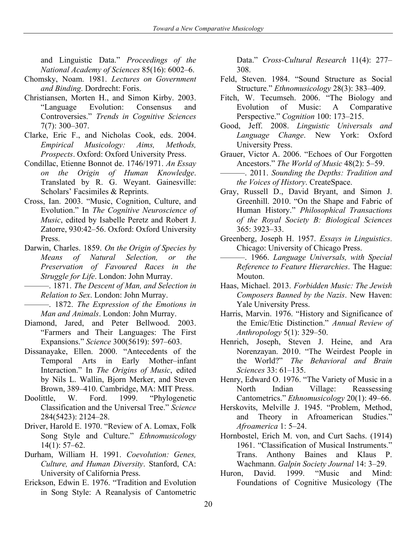and Linguistic Data." *Proceedings of the National Academy of Sciences* 85(16): 6002–6.

- Chomsky, Noam. 1981. *Lectures on Government and Binding*. Dordrecht: Foris.
- Christiansen, Morten H., and Simon Kirby. 2003. "Language Evolution: Consensus and Controversies." *Trends in Cognitive Sciences* 7(7): 300–307.
- Clarke, Eric F., and Nicholas Cook, eds. 2004. *Empirical Musicology: Aims, Methods, Prospects*. Oxford: Oxford University Press.
- Condillac, Etienne Bonnot de. 1746/1971. *An Essay on the Origin of Human Knowledge*. Translated by R. G. Weyant. Gainesville: Scholars' Facsimiles & Reprints.
- Cross, Ian. 2003. "Music, Cognition, Culture, and Evolution." In *The Cognitive Neuroscience of Music*, edited by Isabelle Peretz and Robert J. Zatorre, 930:42–56. Oxford: Oxford University Press.
- Darwin, Charles. 1859. *On the Origin of Species by Means of Natural Selection, or the Preservation of Favoured Races in the Struggle for Life*. London: John Murray.
- ———. 1871. *The Descent of Man, and Selection in Relation to Sex*. London: John Murray.
- ———. 1872. *The Expression of the Emotions in Man and Animals*. London: John Murray.
- Diamond, Jared, and Peter Bellwood. 2003. "Farmers and Their Languages: The First Expansions." *Science* 300(5619): 597–603.
- Dissanayake, Ellen. 2000. "Antecedents of the Temporal Arts in Early Mother–infant Interaction." In *The Origins of Music*, edited by Nils L. Wallin, Bjorn Merker, and Steven Brown, 389–410. Cambridge, MA: MIT Press.<br>ittle. W. Ford. 1999. "Phylogenetic
- Doolittle, W. Ford. 1999. "Phylogenetic Classification and the Universal Tree." *Science* 284(5423): 2124–28.
- Driver, Harold E. 1970. "Review of A. Lomax, Folk Song Style and Culture." *Ethnomusicology* 14(1): 57–62.
- Durham, William H. 1991. *Coevolution: Genes, Culture, and Human Diversity*. Stanford, CA: University of California Press.
- Erickson, Edwin E. 1976. "Tradition and Evolution in Song Style: A Reanalysis of Cantometric

Data." *Cross-Cultural Research* 11(4): 277– 308.

- Feld, Steven. 1984. "Sound Structure as Social Structure." *Ethnomusicology* 28(3): 383–409.
- Fitch, W. Tecumseh. 2006. "The Biology and Evolution of Music: A Comparative Perspective." *Cognition* 100: 173–215.
- Good, Jeff. 2008. *Linguistic Universals and Language Change*. New York: Oxford University Press.
- Grauer, Victor A. 2006. "Echoes of Our Forgotten Ancestors." *The World of Music* 48(2): 5–59.
- ———. 2011. *Sounding the Depths: Tradition and the Voices of History*. CreateSpace.
- Gray, Russell D., David Bryant, and Simon J. Greenhill. 2010. "On the Shape and Fabric of Human History." *Philosophical Transactions of the Royal Society B: Biological Sciences* 365: 3923–33.
- Greenberg, Joseph H. 1957. *Essays in Linguistics*. Chicago: University of Chicago Press.
- ———. 1966. *Language Universals, with Special Reference to Feature Hierarchies*. The Hague: Mouton.
- Haas, Michael. 2013. *Forbidden Music: The Jewish Composers Banned by the Nazis*. New Haven: Yale University Press.
- Harris, Marvin. 1976. "History and Significance of the Emic/Etic Distinction." *Annual Review of Anthropology* 5(1): 329–50.
- Henrich, Joseph, Steven J. Heine, and Ara Norenzayan. 2010. "The Weirdest People in the World?" *The Behavioral and Brain Sciences* 33: 61–135.
- Henry, Edward O. 1976. "The Variety of Music in a North Indian Village: Reassessing Cantometrics." *Ethnomusicology* 20(1): 49–66.
- Herskovits, Melville J. 1945. "Problem, Method, and Theory in Afroamerican Studies." *Afroamerica* 1: 5–24.
- Hornbostel, Erich M. von, and Curt Sachs. (1914) 1961. "Classification of Musical Instruments." Trans. Anthony Baines and Klaus P. Wachmann. *Galpin Society Journal* 14: 3–29.
- Huron, David. 1999. "Music and Mind: Foundations of Cognitive Musicology (The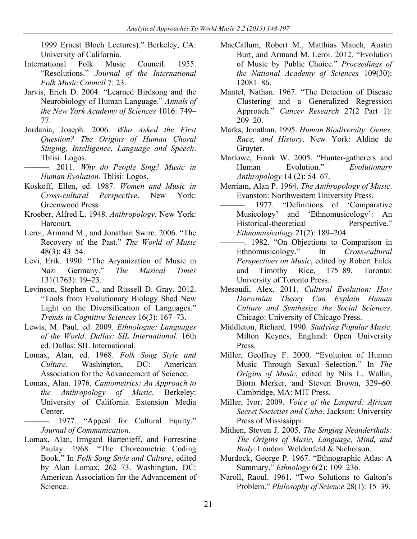1999 Ernest Bloch Lectures)." Berkeley, CA: University of California.

- International Folk Music Council. 1955. "Resolutions." *Journal of the International Folk Music Council* 7: 23.
- Jarvis, Erich D. 2004. "Learned Birdsong and the Neurobiology of Human Language." *Annals of the New York Academy of Sciences* 1016: 749– 77.
- Jordania, Joseph. 2006. *Who Asked the First Question? The Origins of Human Choral Singing, Intelligence, Language and Speech*. Tblisi: Logos.
	- ———. 2011. *Why do People Sing? Music in Human Evolution.* Tblisi: Logos.
- Koskoff, Ellen, ed. 1987. *Women and Music in Cross-cultural Perspective*. New York: Greenwood Press
- Kroeber, Alfred L. 1948. *Anthropology*. New York: Harcourt.
- Leroi, Armand M., and Jonathan Swire. 2006. "The Recovery of the Past." *The World of Music* 48(3): 43–54.
- Levi, Erik. 1990. "The Aryanization of Music in Nazi Germany." *The Musical Times* 131(1763): 19–23.
- Levinson, Stephen C., and Russell D. Gray. 2012. "Tools from Evolutionary Biology Shed New Light on the Diversification of Languages." *Trends in Cognitive Sciences* 16(3): 167–73.
- Lewis, M. Paul, ed. 2009. *Ethnologue: Languages of the World*. *Dallas: SIL International*. 16th ed. Dallas: SIL International.
- Lomax, Alan, ed. 1968. *Folk Song Style and Culture*. Washington, DC: American Association for the Advancement of Science.
- Lomax, Alan. 1976. *Cantometrics: An Approach to the Anthropology of Music*. Berkeley: University of California Extension Media Center.
- ———. 1977. "Appeal for Cultural Equity." *Journal of Communication*.
- Lomax, Alan, Irmgard Bartenieff, and Forrestine Paulay. 1968. "The Choreometric Coding Book." In *Folk Song Style and Culture*, edited by Alan Lomax, 262–73. Washington, DC: American Association for the Advancement of Science.
- MacCallum, Robert M., Matthias Mauch, Austin Burt, and Armand M. Leroi. 2012. "Evolution of Music by Public Choice." *Proceedings of the National Academy of Sciences* 109(30): 12081–86.
- Mantel, Nathan. 1967. "The Detection of Disease Clustering and a Generalized Regression Approach." *Cancer Research* 27(2 Part 1): 209–20.
- Marks, Jonathan. 1995. *Human Biodiversity: Genes, Race, and History*. New York: Aldine de Gruyter.
- Marlowe, Frank W. 2005. "Hunter-gatherers and Human Evolution." *Evolutionary Anthropology* 14 (2): 54–67.
- Merriam, Alan P. 1964. *The Anthropology of Music*. Evanston: Northwestern University Press.
- ———. 1977. "Definitions of 'Comparative Musicology' and 'Ethnomusicology': An Historical-theoretical Perspective." *Ethnomusicology* 21(2): 189–204.
- ———. 1982. "On Objections to Comparison in Ethnomusicology." In *Cross-cultural Perspectives on Music*, edited by Robert Falck and Timothy Rice, 175–89. Toronto: University of Toronto Press.
- Mesoudi, Alex. 2011. *Cultural Evolution: How Darwinian Theory Can Explain Human Culture and Synthesize the Social Sciences*. Chicago: University of Chicago Press.
- Middleton, Richard. 1990. *Studying Popular Music*. Milton Keynes, England: Open University Press.
- Miller, Geoffrey F. 2000. "Evolution of Human Music Through Sexual Selection." In *The Origins of Music*, edited by Nils L. Wallin, Bjorn Merker, and Steven Brown, 329–60. Cambridge, MA: MIT Press.
- Miller, Ivor. 2009. *Voice of the Leopard: African Secret Societies and Cuba*. Jackson: University Press of Mississippi.
- Mithen, Steven J. 2005. *The Singing Neanderthals: The Origins of Music, Language, Mind, and Body*. London: Weldenfeld & Nicholson.
- Murdock, George P. 1967. "Ethnographic Atlas: A Summary." *Ethnology* 6(2): 109–236.
- Naroll, Raoul. 1961. "Two Solutions to Galton's Problem." *Philosophy of Science* 28(1): 15–39.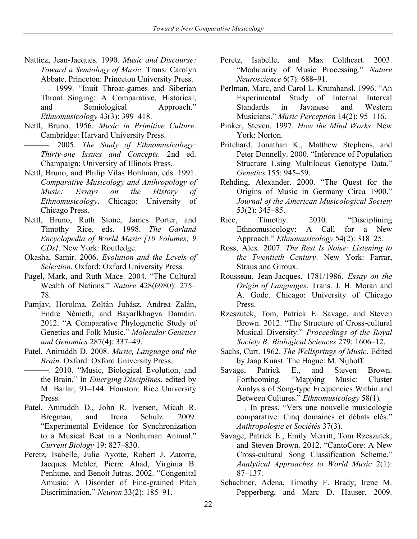- Nattiez, Jean-Jacques. 1990. *Music and Discourse: Toward a Semiology of Music*. Trans. Carolyn Abbate. Princeton: Princeton University Press.
	- ———. 1999. "Inuit Throat-games and Siberian Throat Singing: A Comparative, Historical, and Semiological Approach." *Ethnomusicology* 43(3): 399–418.
- Nettl, Bruno. 1956. *Music in Primitive Culture*. Cambridge: Harvard University Press.
	- ———. 2005. *The Study of Ethnomusicology: Thirty-one Issues and Concepts*. 2nd ed. Champaign: University of Illinois Press.
- Nettl, Bruno, and Philip Vilas Bohlman, eds. 1991. *Comparative Musicology and Anthropology of Music: Essays on the History of Ethnomusicology*. Chicago: University of Chicago Press.
- Nettl, Bruno, Ruth Stone, James Porter, and Timothy Rice, eds. 1998. *The Garland Encyclopedia of World Music [10 Volumes; 9 CDs]*. New York: Routledge.
- Okasha, Samir. 2006. *Evolution and the Levels of Selection*. Oxford: Oxford University Press.
- Pagel, Mark, and Ruth Mace. 2004. "The Cultural Wealth of Nations." *Nature* 428(6980): 275– 78.
- Pamjav, Horolma, Zoltán Juhász, Andrea Zalán, Endre Németh, and Bayarlkhagva Damdin. 2012. "A Comparative Phylogenetic Study of Genetics and Folk Music." *Molecular Genetics and Genomics* 287(4): 337–49.
- Patel, Aniruddh D. 2008. *Music, Language and the Brain*. Oxford: Oxford University Press.
- ———. 2010. "Music, Biological Evolution, and the Brain." In *Emerging Disciplines*, edited by M. Bailar, 91–144. Houston: Rice University Press.
- Patel, Aniruddh D., John R. Iversen, Micah R. Bregman, and Irena Schulz. 2009. "Experimental Evidence for Synchronization to a Musical Beat in a Nonhuman Animal." *Current Biology* 19: 827–830.
- Peretz, Isabelle, Julie Ayotte, Robert J. Zatorre, Jacques Mehler, Pierre Ahad, Virginia B. Penhune, and Benoît Jutras. 2002. "Congenital Amusia: A Disorder of Fine-grained Pitch Discrimination." *Neuron* 33(2): 185–91.
- Peretz, Isabelle, and Max Coltheart. 2003. "Modularity of Music Processing." *Nature Neuroscience* 6(7): 688–91.
- Perlman, Marc, and Carol L. Krumhansl. 1996. "An Experimental Study of Internal Interval Standards in Javanese and Western Musicians." *Music Perception* 14(2): 95–116.
- Pinker, Steven. 1997. *How the Mind Works*. New York: Norton.
- Pritchard, Jonathan K., Matthew Stephens, and Peter Donnelly. 2000. "Inference of Population Structure Using Multilocus Genotype Data." *Genetics* 155: 945–59.
- Rehding, Alexander. 2000. "The Quest for the Origins of Music in Germany Circa 1900." *Journal of the American Musicological Society* 53(2): 345–85.
- Rice, Timothy. 2010. "Disciplining Ethnomusicology: A Call for a New Approach." *Ethnomusicology* 54(2): 318–25.
- Ross, Alex. 2007. *The Rest Is Noise: Listening to the Twentieth Century*. New York: Farrar, Straus and Giroux.
- Rousseau, Jean-Jacques. 1781/1986. *Essay on the Origin of Languages*. Trans. J. H. Moran and A. Gode. Chicago: University of Chicago Press.
- Rzeszutek, Tom, Patrick E. Savage, and Steven Brown. 2012. "The Structure of Cross-cultural Musical Diversity." *Proceedings of the Royal Society B: Biological Sciences* 279: 1606–12.
- Sachs, Curt. 1962. *The Wellsprings of Music*. Edited by Jaap Kunst. The Hague: M. Nijhoff.
- Savage, Patrick E., and Steven Brown. Forthcoming. "Mapping Music: Cluster Analysis of Song-type Frequencies Within and Between Cultures." *Ethnomusicology* 58(1)*.*
- ———. In press. "Vers une nouvelle musicologie comparative: Cinq domaines et débats clés." *Anthropologie et Sociétés* 37(3).
- Savage, Patrick E., Emily Merritt, Tom Rzeszutek, and Steven Brown. 2012. "CantoCore: A New Cross-cultural Song Classification Scheme." *Analytical Approaches to World Music* 2(1): 87–137.
- Schachner, Adena, Timothy F. Brady, Irene M. Pepperberg, and Marc D. Hauser. 2009.